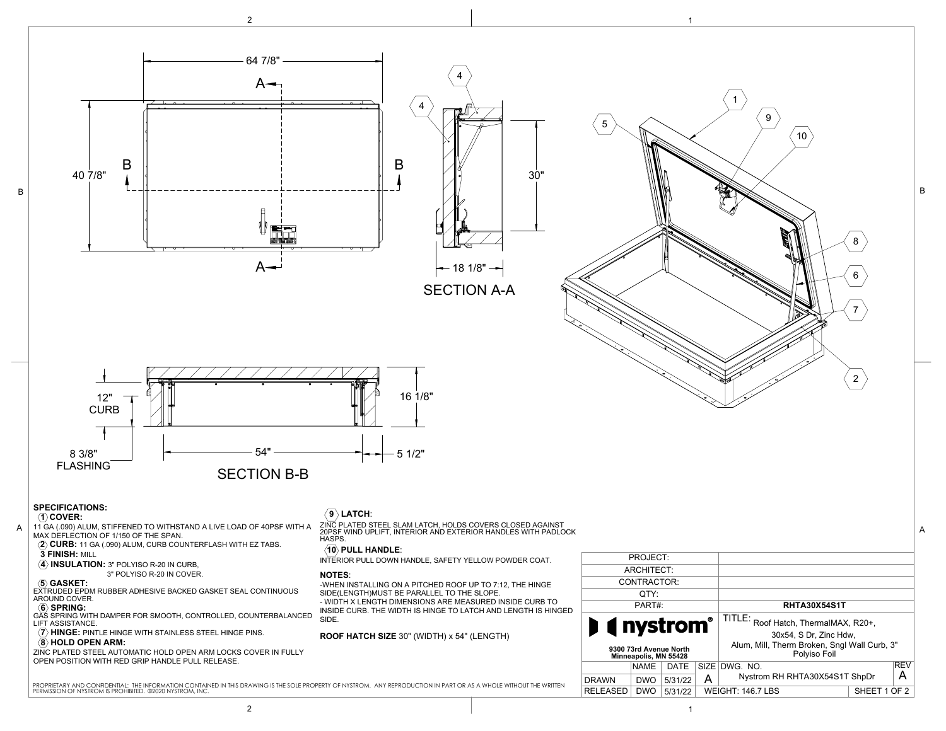